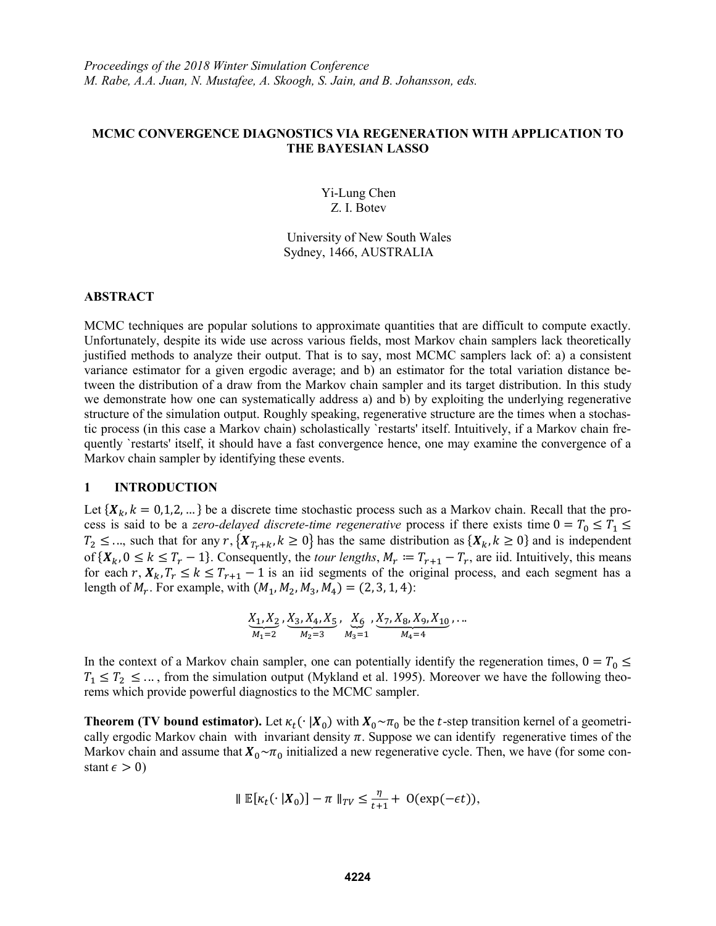## **MCMC CONVERGENCE DIAGNOSTICS VIA REGENERATION WITH APPLICATION TO THE BAYESIAN LASSO**

Yi-Lung Chen Z. I. Botev

University of New South Wales Sydney, 1466, AUSTRALIA

#### **ABSTRACT**

MCMC techniques are popular solutions to approximate quantities that are difficult to compute exactly. Unfortunately, despite its wide use across various fields, most Markov chain samplers lack theoretically justified methods to analyze their output. That is to say, most MCMC samplers lack of: a) a consistent variance estimator for a given ergodic average; and b) an estimator for the total variation distance between the distribution of a draw from the Markov chain sampler and its target distribution. In this study we demonstrate how one can systematically address a) and b) by exploiting the underlying regenerative structure of the simulation output. Roughly speaking, regenerative structure are the times when a stochastic process (in this case a Markov chain) scholastically `restarts' itself. Intuitively, if a Markov chain frequently `restarts' itself, it should have a fast convergence hence, one may examine the convergence of a Markov chain sampler by identifying these events.

### **1 INTRODUCTION**

Let  ${X_k, k = 0,1,2,...}$  be a discrete time stochastic process such as a Markov chain. Recall that the process is said to be a *zero-delayed discrete-time regenerative* process if there exists time  $0 = T_0 \leq T_1 \leq$  $T_2 \leq \ldots$ , such that for any  $r, \{X_{T_r+k}, k \geq 0\}$  has the same distribution as  $\{X_k, k \geq 0\}$  and is independent of  $\{X_k, 0 \le k \le T_r - 1\}$ . Consequently, the *tour lengths*,  $M_r := T_{r+1} - T_r$ , are iid. Intuitively, this means for each r,  $X_k$ ,  $T_r \le k \le T_{r+1} - 1$  is an iid segments of the original process, and each segment has a length of  $M_r$ . For example, with  $(M_1, M_2, M_3, M_4) = (2, 3, 1, 4)$ :

$$
\underbrace{X_1, X_2}_{M_1=2}, \underbrace{X_3, X_4, X_5}_{M_2=3}, \underbrace{X_6}_{M_3=1}, \underbrace{X_7, X_8, X_9, X_{10}}_{M_4=4}, \dots
$$

In the context of a Markov chain sampler, one can potentially identify the regeneration times,  $0 = T_0 \leq$  $T_1 \leq T_2 \leq \ldots$ , from the simulation output (Mykland et al. 1995). Moreover we have the following theorems which provide powerful diagnostics to the MCMC sampler.

**Theorem (TV bound estimator).** Let  $\kappa_t(\cdot | X_0)$  with  $X_0 \sim \pi_0$  be the *t*-step transition kernel of a geometrically ergodic Markov chain with invariant density  $\pi$ . Suppose we can identify regenerative times of the Markov chain and assume that  $X_0 \sim \pi_0$  initialized a new regenerative cycle. Then, we have (for some constant  $\epsilon > 0$ )

$$
\| \mathbb{E}[\kappa_t(\cdot | \boldsymbol{X}_0)] - \pi \|_{TV} \le \frac{\eta}{t+1} + \mathcal{O}(\exp(-\epsilon t)),
$$